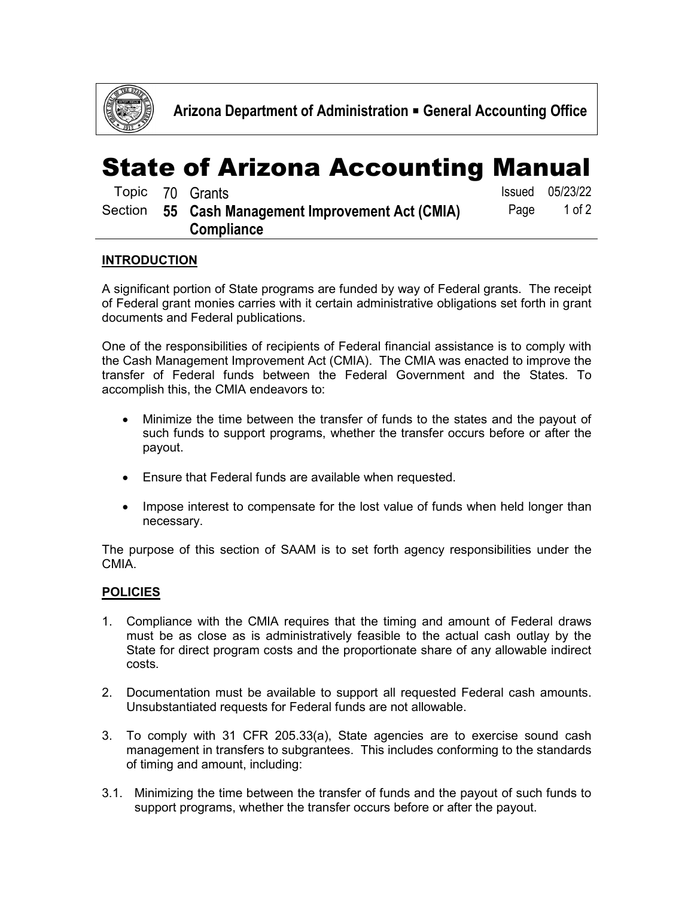

## State of Arizona Accounting Manual

|         | Topic 70 Grants                           |      | Issued 05/23/22 |
|---------|-------------------------------------------|------|-----------------|
| Section | 55 Cash Management Improvement Act (CMIA) | Page | 1 of $2$        |
|         | <b>Compliance</b>                         |      |                 |

## **INTRODUCTION**

A significant portion of State programs are funded by way of Federal grants. The receipt of Federal grant monies carries with it certain administrative obligations set forth in grant documents and Federal publications.

One of the responsibilities of recipients of Federal financial assistance is to comply with the Cash Management Improvement Act (CMIA). The CMIA was enacted to improve the transfer of Federal funds between the Federal Government and the States. To accomplish this, the CMIA endeavors to:

- Minimize the time between the transfer of funds to the states and the payout of such funds to support programs, whether the transfer occurs before or after the payout.
- Ensure that Federal funds are available when requested.
- Impose interest to compensate for the lost value of funds when held longer than necessary.

The purpose of this section of SAAM is to set forth agency responsibilities under the CMIA.

## **POLICIES**

- 1. Compliance with the CMIA requires that the timing and amount of Federal draws must be as close as is administratively feasible to the actual cash outlay by the State for direct program costs and the proportionate share of any allowable indirect costs.
- 2. Documentation must be available to support all requested Federal cash amounts. Unsubstantiated requests for Federal funds are not allowable.
- 3. To comply with 31 CFR 205.33(a), State agencies are to exercise sound cash management in transfers to subgrantees. This includes conforming to the standards of timing and amount, including:
- 3.1. Minimizing the time between the transfer of funds and the payout of such funds to support programs, whether the transfer occurs before or after the payout.